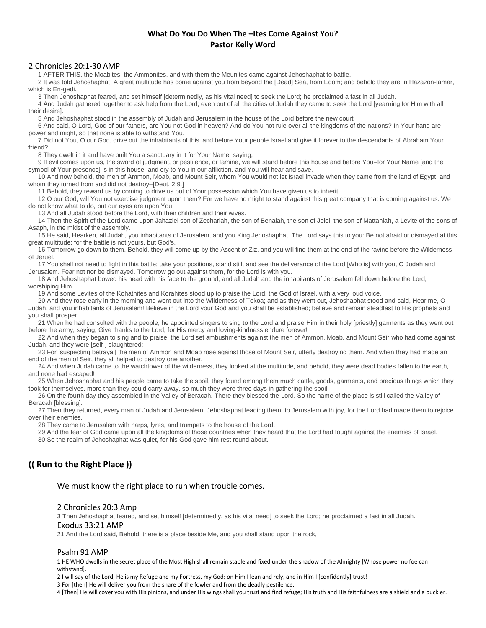# **What Do You Do When The –Ites Come Against You? Pastor Kelly Word**

# 2 Chronicles 20:1-30 AMP

1 AFTER THIS, the Moabites, the Ammonites, and with them the Meunites came against Jehoshaphat to battle.

2 It was told Jehoshaphat, A great multitude has come against you from beyond the [Dead] Sea, from Edom; and behold they are in Hazazon-tamar, which is En-gedi.

3 Then Jehoshaphat feared, and set himself [determinedly, as his vital need] to seek the Lord; he proclaimed a fast in all Judah.

4 And Judah gathered together to ask help from the Lord; even out of all the cities of Judah they came to seek the Lord [yearning for Him with all their desire].

5 And Jehoshaphat stood in the assembly of Judah and Jerusalem in the house of the Lord before the new court

6 And said, O Lord, God of our fathers, are You not God in heaven? And do You not rule over all the kingdoms of the nations? In Your hand are power and might, so that none is able to withstand You.

7 Did not You, O our God, drive out the inhabitants of this land before Your people Israel and give it forever to the descendants of Abraham Your friend?

8 They dwelt in it and have built You a sanctuary in it for Your Name, saying,

9 If evil comes upon us, the sword of judgment, or pestilence, or famine, we will stand before this house and before You–for Your Name [and the symbol of Your presence] is in this house–and cry to You in our affliction, and You will hear and save.

10 And now behold, the men of Ammon, Moab, and Mount Seir, whom You would not let Israel invade when they came from the land of Egypt, and whom they turned from and did not destroy–[Deut. 2:9.]

11 Behold, they reward us by coming to drive us out of Your possession which You have given us to inherit.

12 O our God, will You not exercise judgment upon them? For we have no might to stand against this great company that is coming against us. We do not know what to do, but our eyes are upon You.

13 And all Judah stood before the Lord, with their children and their wives.

14 Then the Spirit of the Lord came upon Jahaziel son of Zechariah, the son of Benaiah, the son of Jeiel, the son of Mattaniah, a Levite of the sons of Asaph, in the midst of the assembly.

15 He said, Hearken, all Judah, you inhabitants of Jerusalem, and you King Jehoshaphat. The Lord says this to you: Be not afraid or dismayed at this great multitude; for the battle is not yours, but God's.

16 Tomorrow go down to them. Behold, they will come up by the Ascent of Ziz, and you will find them at the end of the ravine before the Wilderness of Jeruel.

17 You shall not need to fight in this battle; take your positions, stand still, and see the deliverance of the Lord [Who is] with you, O Judah and Jerusalem. Fear not nor be dismayed. Tomorrow go out against them, for the Lord is with you.

18 And Jehoshaphat bowed his head with his face to the ground, and all Judah and the inhabitants of Jerusalem fell down before the Lord, worshiping Him.

19 And some Levites of the Kohathites and Korahites stood up to praise the Lord, the God of Israel, with a very loud voice.

20 And they rose early in the morning and went out into the Wilderness of Tekoa; and as they went out, Jehoshaphat stood and said, Hear me, O Judah, and you inhabitants of Jerusalem! Believe in the Lord your God and you shall be established; believe and remain steadfast to His prophets and you shall prosper.

21 When he had consulted with the people, he appointed singers to sing to the Lord and praise Him in their holy [priestly] garments as they went out before the army, saying, Give thanks to the Lord, for His mercy and loving-kindness endure forever!

22 And when they began to sing and to praise, the Lord set ambushments against the men of Ammon, Moab, and Mount Seir who had come against Judah, and they were [self-] slaughtered;

23 For [suspecting betrayal] the men of Ammon and Moab rose against those of Mount Seir, utterly destroying them. And when they had made an end of the men of Seir, they all helped to destroy one another.

24 And when Judah came to the watchtower of the wilderness, they looked at the multitude, and behold, they were dead bodies fallen to the earth, and none had escaped!

25 When Jehoshaphat and his people came to take the spoil, they found among them much cattle, goods, garments, and precious things which they took for themselves, more than they could carry away, so much they were three days in gathering the spoil.

26 On the fourth day they assembled in the Valley of Beracah. There they blessed the Lord. So the name of the place is still called the Valley of Beracah [blessing].

27 Then they returned, every man of Judah and Jerusalem, Jehoshaphat leading them, to Jerusalem with joy, for the Lord had made them to rejoice over their enemies.

28 They came to Jerusalem with harps, lyres, and trumpets to the house of the Lord.

29 And the fear of God came upon all the kingdoms of those countries when they heard that the Lord had fought against the enemies of Israel. 30 So the realm of Jehoshaphat was quiet, for his God gave him rest round about.

# **(( Run to the Right Place ))**

We must know the right place to run when trouble comes.

# 2 Chronicles 20:3 Amp

3 Then Jehoshaphat feared, and set himself [determinedly, as his vital need] to seek the Lord; he proclaimed a fast in all Judah.

### Exodus 33:21 AMP

21 And the Lord said, Behold, there is a place beside Me, and you shall stand upon the rock,

# Psalm 91 AMP

1 HE WHO dwells in the secret place of the Most High shall remain stable and fixed under the shadow of the Almighty [Whose power no foe can withstand].

2 I will say of the Lord, He is my Refuge and my Fortress, my God; on Him I lean and rely, and in Him I [confidently] trust!

3 For [then] He will deliver you from the snare of the fowler and from the deadly pestilence.

4 [Then] He will cover you with His pinions, and under His wings shall you trust and find refuge; His truth and His faithfulness are a shield and a buckler.